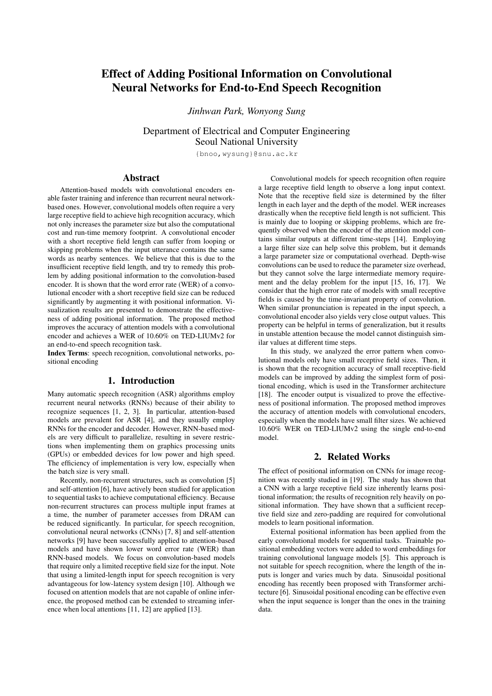# Effect of Adding Positional Information on Convolutional Neural Networks for End-to-End Speech Recognition

*Jinhwan Park, Wonyong Sung*

Department of Electrical and Computer Engineering Seoul National University

{bnoo,wysung}@snu.ac.kr

# Abstract

Attention-based models with convolutional encoders enable faster training and inference than recurrent neural networkbased ones. However, convolutional models often require a very large receptive field to achieve high recognition accuracy, which not only increases the parameter size but also the computational cost and run-time memory footprint. A convolutional encoder with a short receptive field length can suffer from looping or skipping problems when the input utterance contains the same words as nearby sentences. We believe that this is due to the insufficient receptive field length, and try to remedy this problem by adding positional information to the convolution-based encoder. It is shown that the word error rate (WER) of a convolutional encoder with a short receptive field size can be reduced significantly by augmenting it with positional information. Visualization results are presented to demonstrate the effectiveness of adding positional information. The proposed method improves the accuracy of attention models with a convolutional encoder and achieves a WER of 10.60% on TED-LIUMv2 for an end-to-end speech recognition task.

Index Terms: speech recognition, convolutional networks, positional encoding

# 1. Introduction

Many automatic speech recognition (ASR) algorithms employ recurrent neural networks (RNNs) because of their ability to recognize sequences [1, 2, 3]. In particular, attention-based models are prevalent for ASR [4], and they usually employ RNNs for the encoder and decoder. However, RNN-based models are very difficult to parallelize, resulting in severe restrictions when implementing them on graphics processing units (GPUs) or embedded devices for low power and high speed. The efficiency of implementation is very low, especially when the batch size is very small.

Recently, non-recurrent structures, such as convolution [5] and self-attention [6], have actively been studied for application to sequential tasks to achieve computational efficiency. Because non-recurrent structures can process multiple input frames at a time, the number of parameter accesses from DRAM can be reduced significantly. In particular, for speech recognition, convolutional neural networks (CNNs) [7, 8] and self-attention networks [9] have been successfully applied to attention-based models and have shown lower word error rate (WER) than RNN-based models. We focus on convolution-based models that require only a limited receptive field size for the input. Note that using a limited-length input for speech recognition is very advantageous for low-latency system design [10]. Although we focused on attention models that are not capable of online inference, the proposed method can be extended to streaming inference when local attentions [11, 12] are applied [13].

Convolutional models for speech recognition often require a large receptive field length to observe a long input context. Note that the receptive field size is determined by the filter length in each layer and the depth of the model. WER increases drastically when the receptive field length is not sufficient. This is mainly due to looping or skipping problems, which are frequently observed when the encoder of the attention model contains similar outputs at different time-steps [14]. Employing a large filter size can help solve this problem, but it demands a large parameter size or computational overhead. Depth-wise convolutions can be used to reduce the parameter size overhead, but they cannot solve the large intermediate memory requirement and the delay problem for the input [15, 16, 17]. We consider that the high error rate of models with small receptive fields is caused by the time-invariant property of convolution. When similar pronunciation is repeated in the input speech, a convolutional encoder also yields very close output values. This property can be helpful in terms of generalization, but it results in unstable attention because the model cannot distinguish similar values at different time steps.

In this study, we analyzed the error pattern when convolutional models only have small receptive field sizes. Then, it is shown that the recognition accuracy of small receptive-field models can be improved by adding the simplest form of positional encoding, which is used in the Transformer architecture [18]. The encoder output is visualized to prove the effectiveness of positional information. The proposed method improves the accuracy of attention models with convolutional encoders, especially when the models have small filter sizes. We achieved 10.60% WER on TED-LIUMv2 using the single end-to-end model.

# 2. Related Works

The effect of positional information on CNNs for image recognition was recently studied in [19]. The study has shown that a CNN with a large receptive field size inherently learns positional information; the results of recognition rely heavily on positional information. They have shown that a sufficient receptive field size and zero-padding are required for convolutional models to learn positional information.

External positional information has been applied from the early convolutional models for sequential tasks. Trainable positional embedding vectors were added to word embeddings for training convolutional language models [5]. This approach is not suitable for speech recognition, where the length of the inputs is longer and varies much by data. Sinusoidal positional encoding has recently been proposed with Transformer architecture [6]. Sinusoidal positional encoding can be effective even when the input sequence is longer than the ones in the training data.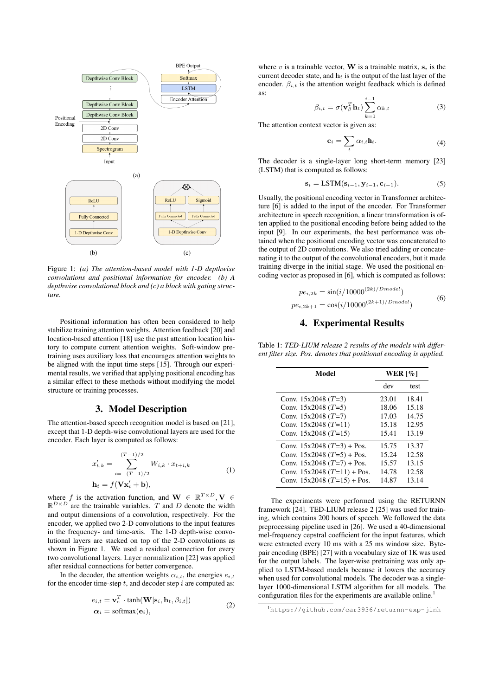

Figure 1: *(a) The attention-based model with 1-D depthwise convolutions and positional information for encoder. (b) A depthwise convolutional block and (c) a block with gating structure.*

Positional information has often been considered to help stabilize training attention weights. Attention feedback [20] and location-based attention [18] use the past attention location history to compute current attention weights. Soft-window pretraining uses auxiliary loss that encourages attention weights to be aligned with the input time steps [15]. Through our experimental results, we verified that applying positional encoding has a similar effect to these methods without modifying the model structure or training processes.

### 3. Model Description

The attention-based speech recognition model is based on [21], except that 1-D depth-wise convolutional layers are used for the encoder. Each layer is computed as follows:

$$
x'_{t,k} = \sum_{i=-(T-1)/2}^{(T-1)/2} W_{i,k} \cdot x_{t+i,k}
$$
  
\n
$$
\mathbf{h}_t = f(\mathbf{V}\mathbf{x}'_t + \mathbf{b}),
$$
\n(1)

where f is the activation function, and  $\mathbf{W} \in \mathbb{R}^{T \times D}, \mathbf{V} \in$  $\mathbb{R}^{D \times D}$  are the trainable variables. T and D denote the width and output dimensions of a convolution, respectively. For the encoder, we applied two 2-D convolutions to the input features in the frequency- and time-axis. The 1-D depth-wise convolutional layers are stacked on top of the 2-D convolutions as shown in Figure 1. We used a residual connection for every two convolutional layers. Layer normalization [22] was applied after residual connections for better convergence.

In the decoder, the attention weights  $\alpha_{i,t}$ , the energies  $e_{i,t}$ for the encoder time-step  $t$ , and decoder step  $i$  are computed as:

$$
e_{i,t} = \mathbf{v}_e^T \cdot \tanh(\mathbf{W}[\mathbf{s}_i, \mathbf{h}_t, \beta_{i,t}])
$$
  
\n
$$
\alpha_i = \text{softmax}(\mathbf{e}_i),
$$
\n(2)

where v is a trainable vector, **W** is a trainable matrix,  $s_i$  is the current decoder state, and  $\mathbf{h}_t$  is the output of the last layer of the encoder.  $\beta_{i,t}$  is the attention weight feedback which is defined as:

$$
\beta_{i,t} = \sigma(\mathbf{v}_{\beta}^T \mathbf{h}_t) \sum_{k=1}^{i-1} \alpha_{k,t}
$$
 (3)

The attention context vector is given as:

$$
\mathbf{c}_i = \sum_t \alpha_{i,t} \mathbf{h}_t. \tag{4}
$$

The decoder is a single-layer long short-term memory [23] (LSTM) that is computed as follows:

$$
\mathbf{s}_{i} = \text{LSTM}(\mathbf{s}_{i-1}, \mathbf{y}_{i-1}, \mathbf{c}_{i-1}).
$$
\n(5)

Usually, the positional encoding vector in Transformer architecture [6] is added to the input of the encoder. For Transformer architecture in speech recognition, a linear transformation is often applied to the positional encoding before being added to the input [9]. In our experiments, the best performance was obtained when the positional encoding vector was concatenated to the output of 2D convolutions. We also tried adding or concatenating it to the output of the convolutional encoders, but it made training diverge in the initial stage. We used the positional encoding vector as proposed in [6], which is computed as follows:

$$
pe_{i,2k} = \sin(i/10000^{(2k)/Dmodel})
$$
  
\n
$$
pe_{i,2k+1} = \cos(i/10000^{(2k+1)/Dmodel})
$$
\n(6)

# 4. Experimental Results

Table 1: *TED-LIUM release 2 results of the models with different filter size. Pos. denotes that positional encoding is applied.*

| Model                         | WER $\lceil \% \rceil$ |       |
|-------------------------------|------------------------|-------|
|                               | dev                    | test  |
| Conv. $15x2048$ (T=3)         | 23.01                  | 18.41 |
| Conv. $15x2048$ (T=5)         | 18.06                  | 15.18 |
| Conv. $15x2048$ (T=7)         | 17.03                  | 14.75 |
| Conv. $15x2048$ (T=11)        | 15.18                  | 12.95 |
| Conv. $15x2048$ (T=15)        | 15.41                  | 13.19 |
| Conv. $15x2048$ (T=3) + Pos.  | 15.75                  | 13.37 |
| Conv. $15x2048$ (T=5) + Pos.  | 15.24                  | 12.58 |
| Conv. $15x2048$ (T=7) + Pos.  | 15.57                  | 13.15 |
| Conv. $15x2048$ (T=11) + Pos. | 14.78                  | 12.58 |
| Conv. $15x2048$ (T=15) + Pos. | 14.87                  | 13.14 |

The experiments were performed using the RETURNN framework [24]. TED-LIUM release 2 [25] was used for training, which contains 200 hours of speech. We followed the data preprocessing pipeline used in [26]. We used a 40-dimensional mel-frequency cepstral coefficient for the input features, which were extracted every 10 ms with a 25 ms window size. Bytepair encoding (BPE) [27] with a vocabulary size of 1K was used for the output labels. The layer-wise pretraining was only applied to LSTM-based models because it lowers the accuracy when used for convolutional models. The decoder was a singlelayer 1000-dimensional LSTM algorithm for all models. The configuration files for the experiments are available online.<sup>1</sup>

<sup>1</sup>https://github.com/car3936/returnn-exp-jinh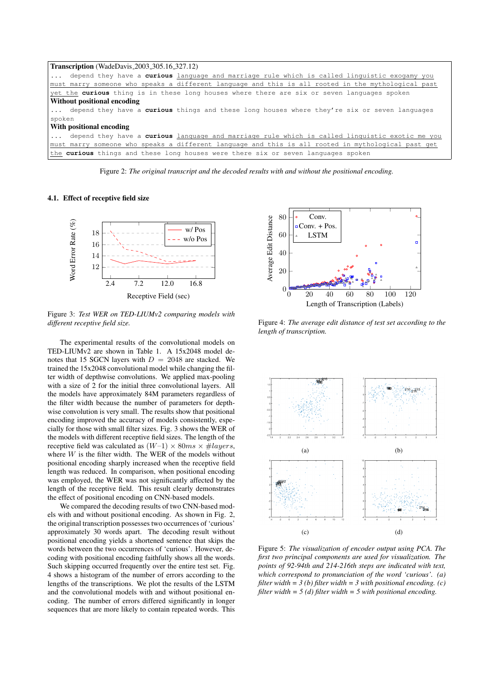```
Transcription (WadeDavis 2003 305.16 327.12)
... depend they have a curious language and marriage rule which is called linguistic exogamy you
must marry someone who speaks a different language and this is all rooted in the mythological past
yet the curious thing is in these long houses where there are six or seven languages spoken
Without positional encoding
... depend they have a curious things and these long houses where they're six or seven languages
spoken
With positional encoding
   ... depend they have a curious language and marriage rule which is called linguistic exotic me you
must marry someone who speaks a different language and this is all rooted in mythological past get
the curious things and these long houses were there six or seven languages spoken
```
Figure 2: *The original transcript and the decoded results with and without the positional encoding.*

#### 4.1. Effect of receptive field size



Figure 3: *Test WER on TED-LIUMv2 comparing models with different receptive field size.*

The experimental results of the convolutional models on TED-LIUMv2 are shown in Table 1. A 15x2048 model denotes that 15 SGCN layers with  $D = 2048$  are stacked. We trained the 15x2048 convolutional model while changing the filter width of depthwise convolutions. We applied max-pooling with a size of 2 for the initial three convolutional layers. All the models have approximately 84M parameters regardless of the filter width because the number of parameters for depthwise convolution is very small. The results show that positional encoding improved the accuracy of models consistently, especially for those with small filter sizes. Fig. 3 shows the WER of the models with different receptive field sizes. The length of the receptive field was calculated as  $(W-1) \times 80ms \times \text{\#layers}$ , where  $W$  is the filter width. The WER of the models without positional encoding sharply increased when the receptive field length was reduced. In comparison, when positional encoding was employed, the WER was not significantly affected by the length of the receptive field. This result clearly demonstrates the effect of positional encoding on CNN-based models.

We compared the decoding results of two CNN-based models with and without positional encoding. As shown in Fig. 2, the original transcription possesses two occurrences of 'curious' approximately 30 words apart. The decoding result without positional encoding yields a shortened sentence that skips the words between the two occurrences of 'curious'. However, decoding with positional encoding faithfully shows all the words. Such skipping occurred frequently over the entire test set. Fig. 4 shows a histogram of the number of errors according to the lengths of the transcriptions. We plot the results of the LSTM and the convolutional models with and without positional encoding. The number of errors differed significantly in longer sequences that are more likely to contain repeated words. This



Figure 4: *The average edit distance of test set according to the length of transcription.*



Figure 5: *The visualization of encoder output using PCA. The first two principal components are used for visualization. The points of 92-94th and 214-216th steps are indicated with text, which correspond to pronunciation of the word 'curious'. (a) filter width = 3 (b) filter width = 3 with positional encoding. (c) filter width = 5 (d) filter width = 5 with positional encoding.*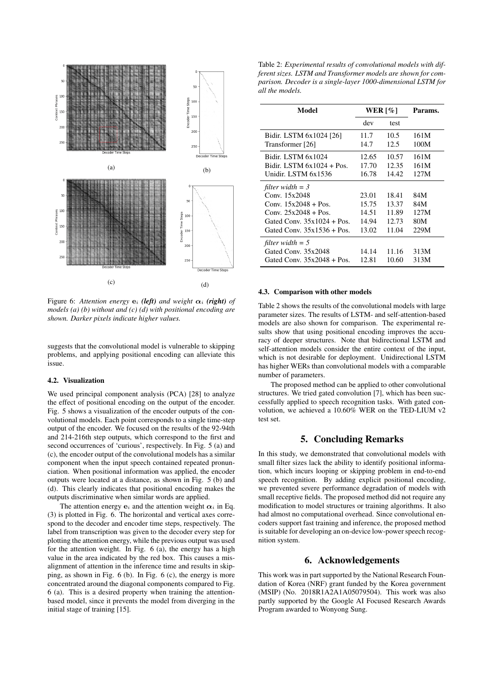

Figure 6: Attention energy  $e_i$  (left) and weight  $\alpha_i$  (right) of *models (a) (b) without and (c) (d) with positional encoding are shown. Darker pixels indicate higher values.*

suggests that the convolutional model is vulnerable to skipping problems, and applying positional encoding can alleviate this issue.

#### 4.2. Visualization

We used principal component analysis (PCA) [28] to analyze the effect of positional encoding on the output of the encoder. Fig. 5 shows a visualization of the encoder outputs of the convolutional models. Each point corresponds to a single time-step output of the encoder. We focused on the results of the 92-94th and 214-216th step outputs, which correspond to the first and second occurrences of 'curious', respectively. In Fig. 5 (a) and (c), the encoder output of the convolutional models has a similar component when the input speech contained repeated pronunciation. When positional information was applied, the encoder outputs were located at a distance, as shown in Fig. 5 (b) and (d). This clearly indicates that positional encoding makes the outputs discriminative when similar words are applied.

The attention energy  $e_i$  and the attention weight  $\alpha_i$  in Eq. (3) is plotted in Fig. 6. The horizontal and vertical axes correspond to the decoder and encoder time steps, respectively. The label from transcription was given to the decoder every step for plotting the attention energy, while the previous output was used for the attention weight. In Fig. 6 (a), the energy has a high value in the area indicated by the red box. This causes a misalignment of attention in the inference time and results in skipping, as shown in Fig. 6 (b). In Fig. 6 (c), the energy is more concentrated around the diagonal components compared to Fig. 6 (a). This is a desired property when training the attentionbased model, since it prevents the model from diverging in the initial stage of training [15].

Table 2: *Experimental results of convolutional models with different sizes. LSTM and Transformer models are shown for comparison. Decoder is a single-layer 1000-dimensional LSTM for all the models.*

| Model                         | WER $\lceil \% \rceil$ |       | Params. |
|-------------------------------|------------------------|-------|---------|
|                               | dev                    | test  |         |
| Bidir. LSTM 6x1024 [26]       | 11.7                   | 10.5  | 161M    |
| Transformer [26]              | 14.7                   | 12.5  | 100M    |
| Bidir. LSTM 6x1024            | 12.65                  | 10.57 | 161M    |
| Bidir. LSTM $6x1024 + Pos$ .  | 17.70                  | 12.35 | 161M    |
| Unidir. LSTM 6x1536           | 16.78                  | 14.42 | 127M    |
| filter width $=$ 3            |                        |       |         |
| Conv. 15x2048                 | 23.01                  | 18.41 | 84M     |
| Conv. $15x2048 + Pos$ .       | 15.75                  | 13.37 | 84M     |
| Conv. $25x2048 + Pos$ .       | 14.51                  | 11.89 | 127M    |
| Gated Conv. $35x1024 + Pos$ . | 14.94                  | 12.73 | 80M     |
| Gated Conv. $35x1536 + Pos$ . | 13.02                  | 11.04 | 229M    |
| filter width $=$ 5            |                        |       |         |
| Gated Conv. 35x2048           | 14.14                  | 11.16 | 313M    |
| Gated Conv. $35x2048 + Pos$ . | 12.81                  | 10.60 | 313M    |

#### 4.3. Comparison with other models

Table 2 shows the results of the convolutional models with large parameter sizes. The results of LSTM- and self-attention-based models are also shown for comparison. The experimental results show that using positional encoding improves the accuracy of deeper structures. Note that bidirectional LSTM and self-attention models consider the entire context of the input, which is not desirable for deployment. Unidirectional LSTM has higher WERs than convolutional models with a comparable number of parameters.

The proposed method can be applied to other convolutional structures. We tried gated convolution [7], which has been successfully applied to speech recognition tasks. With gated convolution, we achieved a 10.60% WER on the TED-LIUM v2 test set.

### 5. Concluding Remarks

In this study, we demonstrated that convolutional models with small filter sizes lack the ability to identify positional information, which incurs looping or skipping problem in end-to-end speech recognition. By adding explicit positional encoding, we prevented severe performance degradation of models with small receptive fields. The proposed method did not require any modification to model structures or training algorithms. It also had almost no computational overhead. Since convolutional encoders support fast training and inference, the proposed method is suitable for developing an on-device low-power speech recognition system.

### 6. Acknowledgements

This work was in part supported by the National Research Foundation of Korea (NRF) grant funded by the Korea government (MSIP) (No. 2018R1A2A1A05079504). This work was also partly supported by the Google AI Focused Research Awards Program awarded to Wonyong Sung.